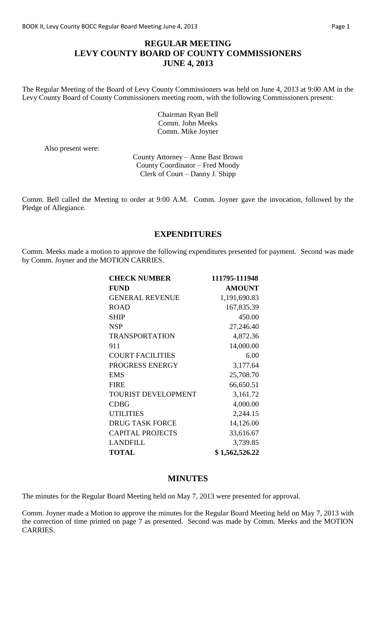### **REGULAR MEETING LEVY COUNTY BOARD OF COUNTY COMMISSIONERS JUNE 4, 2013**

The Regular Meeting of the Board of Levy County Commissioners was held on June 4, 2013 at 9:00 AM in the Levy County Board of County Commissioners meeting room, with the following Commissioners present:

> Chairman Ryan Bell Comm. John Meeks Comm. Mike Joyner

Also present were:

County Attorney – Anne Bast Brown County Coordinator – Fred Moody Clerk of Court – Danny J. Shipp

Comm. Bell called the Meeting to order at 9:00 A.M. Comm. Joyner gave the invocation, followed by the Pledge of Allegiance.

### **EXPENDITURES**

Comm. Meeks made a motion to approve the following expenditures presented for payment. Second was made by Comm. Joyner and the MOTION CARRIES.

| <b>CHECK NUMBER</b>        | 111795-111948  |
|----------------------------|----------------|
| <b>FUND</b>                | <b>AMOUNT</b>  |
| <b>GENERAL REVENUE</b>     | 1,191,690.83   |
| <b>ROAD</b>                | 167,835.39     |
| <b>SHIP</b>                | 450.00         |
| <b>NSP</b>                 | 27,246.40      |
| <b>TRANSPORTATION</b>      | 4,872.36       |
| 911                        | 14,000.00      |
| <b>COURT FACILITIES</b>    | 6.00           |
| PROGRESS ENERGY            | 3,177.64       |
| <b>EMS</b>                 | 25,708.70      |
| <b>FIRE</b>                | 66,650.51      |
| <b>TOURIST DEVELOPMENT</b> | 3,161.72       |
| <b>CDBG</b>                | 4,000.00       |
| <b>UTILITIES</b>           | 2,244.15       |
| <b>DRUG TASK FORCE</b>     | 14,126.00      |
| <b>CAPITAL PROJECTS</b>    | 33,616.67      |
| <b>LANDFILL</b>            | 3,739.85       |
| <b>TOTAL</b>               | \$1,562,526.22 |

# **MINUTES**

The minutes for the Regular Board Meeting held on May 7, 2013 were presented for approval.

Comm. Joyner made a Motion to approve the minutes for the Regular Board Meeting held on May 7, 2013 with the correction of time printed on page 7 as presented. Second was made by Comm. Meeks and the MOTION CARRIES.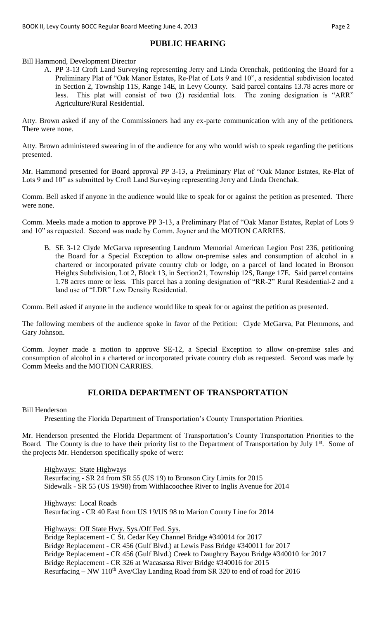# **PUBLIC HEARING**

Bill Hammond, Development Director

A. PP 3-13 Croft Land Surveying representing Jerry and Linda Orenchak, petitioning the Board for a Preliminary Plat of "Oak Manor Estates, Re-Plat of Lots 9 and 10", a residential subdivision located in Section 2, Township 11S, Range 14E, in Levy County. Said parcel contains 13.78 acres more or less. This plat will consist of two (2) residential lots. The zoning designation is "ARR" Agriculture/Rural Residential.

Atty. Brown asked if any of the Commissioners had any ex-parte communication with any of the petitioners. There were none.

Atty. Brown administered swearing in of the audience for any who would wish to speak regarding the petitions presented.

Mr. Hammond presented for Board approval PP 3-13, a Preliminary Plat of "Oak Manor Estates, Re-Plat of Lots 9 and 10" as submitted by Croft Land Surveying representing Jerry and Linda Orenchak.

Comm. Bell asked if anyone in the audience would like to speak for or against the petition as presented. There were none.

Comm. Meeks made a motion to approve PP 3-13, a Preliminary Plat of "Oak Manor Estates, Replat of Lots 9 and 10" as requested. Second was made by Comm. Joyner and the MOTION CARRIES.

B. SE 3-12 Clyde McGarva representing Landrum Memorial American Legion Post 236, petitioning the Board for a Special Exception to allow on-premise sales and consumption of alcohol in a chartered or incorporated private country club or lodge, on a parcel of land located in Bronson Heights Subdivision, Lot 2, Block 13, in Section21, Township 12S, Range 17E. Said parcel contains 1.78 acres more or less. This parcel has a zoning designation of "RR-2" Rural Residential-2 and a land use of "LDR" Low Density Residential.

Comm. Bell asked if anyone in the audience would like to speak for or against the petition as presented.

The following members of the audience spoke in favor of the Petition: Clyde McGarva, Pat Plemmons, and Gary Johnson.

Comm. Joyner made a motion to approve SE-12, a Special Exception to allow on-premise sales and consumption of alcohol in a chartered or incorporated private country club as requested. Second was made by Comm Meeks and the MOTION CARRIES.

# **FLORIDA DEPARTMENT OF TRANSPORTATION**

#### Bill Henderson

Presenting the Florida Department of Transportation's County Transportation Priorities.

Mr. Henderson presented the Florida Department of Transportation's County Transportation Priorities to the Board. The County is due to have their priority list to the Department of Transportation by July 1<sup>st</sup>. Some of the projects Mr. Henderson specifically spoke of were:

Highways: State Highways Resurfacing - SR 24 from SR 55 (US 19) to Bronson City Limits for 2015 Sidewalk - SR 55 (US 19/98) from Withlacoochee River to Inglis Avenue for 2014

Highways: Local Roads Resurfacing - CR 40 East from US 19/US 98 to Marion County Line for 2014

Highways: Off State Hwy. Sys./Off Fed. Sys.

Bridge Replacement - C St. Cedar Key Channel Bridge #340014 for 2017 Bridge Replacement - CR 456 (Gulf Blvd.) at Lewis Pass Bridge #340011 for 2017 Bridge Replacement - CR 456 (Gulf Blvd.) Creek to Daughtry Bayou Bridge #340010 for 2017 Bridge Replacement - CR 326 at Wacasassa River Bridge #340016 for 2015 Resurfacing – NW  $110^{th}$  Ave/Clay Landing Road from SR 320 to end of road for 2016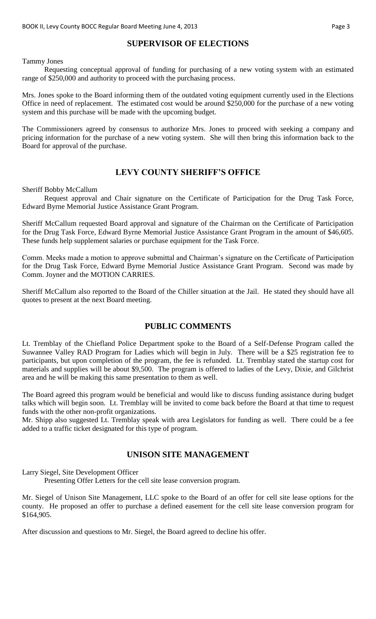# **SUPERVISOR OF ELECTIONS**

Tammy Jones

Requesting conceptual approval of funding for purchasing of a new voting system with an estimated range of \$250,000 and authority to proceed with the purchasing process.

Mrs. Jones spoke to the Board informing them of the outdated voting equipment currently used in the Elections Office in need of replacement. The estimated cost would be around \$250,000 for the purchase of a new voting system and this purchase will be made with the upcoming budget.

The Commissioners agreed by consensus to authorize Mrs. Jones to proceed with seeking a company and pricing information for the purchase of a new voting system. She will then bring this information back to the Board for approval of the purchase.

### **LEVY COUNTY SHERIFF'S OFFICE**

Sheriff Bobby McCallum

Request approval and Chair signature on the Certificate of Participation for the Drug Task Force, Edward Byrne Memorial Justice Assistance Grant Program.

Sheriff McCallum requested Board approval and signature of the Chairman on the Certificate of Participation for the Drug Task Force, Edward Byrne Memorial Justice Assistance Grant Program in the amount of \$46,605. These funds help supplement salaries or purchase equipment for the Task Force.

Comm. Meeks made a motion to approve submittal and Chairman's signature on the Certificate of Participation for the Drug Task Force, Edward Byrne Memorial Justice Assistance Grant Program. Second was made by Comm. Joyner and the MOTION CARRIES.

Sheriff McCallum also reported to the Board of the Chiller situation at the Jail. He stated they should have all quotes to present at the next Board meeting.

### **PUBLIC COMMENTS**

Lt. Tremblay of the Chiefland Police Department spoke to the Board of a Self-Defense Program called the Suwannee Valley RAD Program for Ladies which will begin in July. There will be a \$25 registration fee to participants, but upon completion of the program, the fee is refunded. Lt. Tremblay stated the startup cost for materials and supplies will be about \$9,500. The program is offered to ladies of the Levy, Dixie, and Gilchrist area and he will be making this same presentation to them as well.

The Board agreed this program would be beneficial and would like to discuss funding assistance during budget talks which will begin soon. Lt. Tremblay will be invited to come back before the Board at that time to request funds with the other non-profit organizations.

Mr. Shipp also suggested Lt. Tremblay speak with area Legislators for funding as well. There could be a fee added to a traffic ticket designated for this type of program.

### **UNISON SITE MANAGEMENT**

Larry Siegel, Site Development Officer

Presenting Offer Letters for the cell site lease conversion program.

Mr. Siegel of Unison Site Management, LLC spoke to the Board of an offer for cell site lease options for the county. He proposed an offer to purchase a defined easement for the cell site lease conversion program for \$164,905.

After discussion and questions to Mr. Siegel, the Board agreed to decline his offer.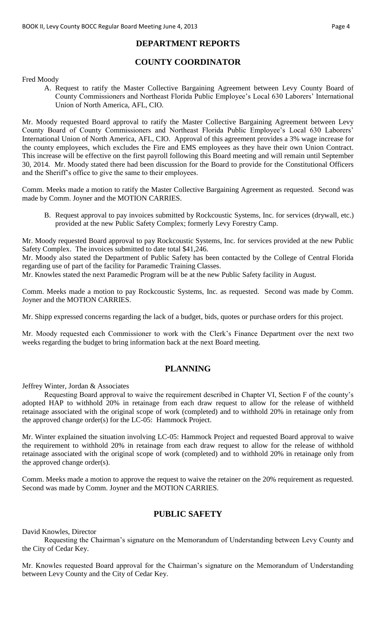### **DEPARTMENT REPORTS**

# **COUNTY COORDINATOR**

Fred Moody

A. Request to ratify the Master Collective Bargaining Agreement between Levy County Board of County Commissioners and Northeast Florida Public Employee's Local 630 Laborers' International Union of North America, AFL, CIO.

Mr. Moody requested Board approval to ratify the Master Collective Bargaining Agreement between Levy County Board of County Commissioners and Northeast Florida Public Employee's Local 630 Laborers' International Union of North America, AFL, CIO. Approval of this agreement provides a 3% wage increase for the county employees, which excludes the Fire and EMS employees as they have their own Union Contract. This increase will be effective on the first payroll following this Board meeting and will remain until September 30, 2014. Mr. Moody stated there had been discussion for the Board to provide for the Constitutional Officers and the Sheriff's office to give the same to their employees.

Comm. Meeks made a motion to ratify the Master Collective Bargaining Agreement as requested. Second was made by Comm. Joyner and the MOTION CARRIES.

B. Request approval to pay invoices submitted by Rockcoustic Systems, Inc. for services (drywall, etc.) provided at the new Public Safety Complex; formerly Levy Forestry Camp.

Mr. Moody requested Board approval to pay Rockcoustic Systems, Inc. for services provided at the new Public Safety Complex. The invoices submitted to date total \$41,246.

Mr. Moody also stated the Department of Public Safety has been contacted by the College of Central Florida regarding use of part of the facility for Paramedic Training Classes.

Mr. Knowles stated the next Paramedic Program will be at the new Public Safety facility in August.

Comm. Meeks made a motion to pay Rockcoustic Systems, Inc. as requested. Second was made by Comm. Joyner and the MOTION CARRIES.

Mr. Shipp expressed concerns regarding the lack of a budget, bids, quotes or purchase orders for this project.

Mr. Moody requested each Commissioner to work with the Clerk's Finance Department over the next two weeks regarding the budget to bring information back at the next Board meeting.

# **PLANNING**

Jeffrey Winter, Jordan & Associates

Requesting Board approval to waive the requirement described in Chapter VI, Section F of the county's adopted HAP to withhold 20% in retainage from each draw request to allow for the release of withheld retainage associated with the original scope of work (completed) and to withhold 20% in retainage only from the approved change order(s) for the LC-05: Hammock Project.

Mr. Winter explained the situation involving LC-05: Hammock Project and requested Board approval to waive the requirement to withhold 20% in retainage from each draw request to allow for the release of withhold retainage associated with the original scope of work (completed) and to withhold 20% in retainage only from the approved change order(s).

Comm. Meeks made a motion to approve the request to waive the retainer on the 20% requirement as requested. Second was made by Comm. Joyner and the MOTION CARRIES.

# **PUBLIC SAFETY**

David Knowles, Director

Requesting the Chairman's signature on the Memorandum of Understanding between Levy County and the City of Cedar Key.

Mr. Knowles requested Board approval for the Chairman's signature on the Memorandum of Understanding between Levy County and the City of Cedar Key.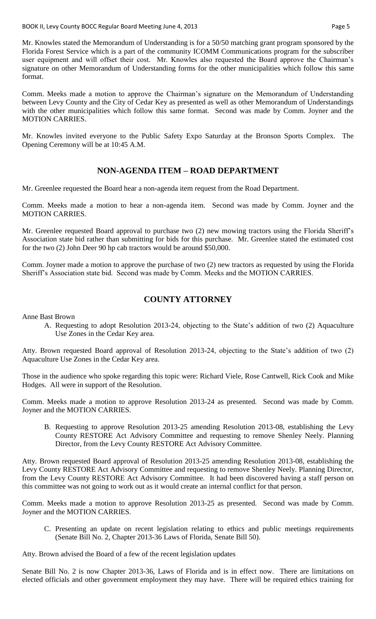Mr. Knowles stated the Memorandum of Understanding is for a 50/50 matching grant program sponsored by the Florida Forest Service which is a part of the community ICOMM Communications program for the subscriber user equipment and will offset their cost. Mr. Knowles also requested the Board approve the Chairman's signature on other Memorandum of Understanding forms for the other municipalities which follow this same format.

Comm. Meeks made a motion to approve the Chairman's signature on the Memorandum of Understanding between Levy County and the City of Cedar Key as presented as well as other Memorandum of Understandings with the other municipalities which follow this same format. Second was made by Comm. Joyner and the MOTION CARRIES.

Mr. Knowles invited everyone to the Public Safety Expo Saturday at the Bronson Sports Complex. The Opening Ceremony will be at 10:45 A.M.

### **NON-AGENDA ITEM – ROAD DEPARTMENT**

Mr. Greenlee requested the Board hear a non-agenda item request from the Road Department.

Comm. Meeks made a motion to hear a non-agenda item. Second was made by Comm. Joyner and the MOTION CARRIES.

Mr. Greenlee requested Board approval to purchase two (2) new mowing tractors using the Florida Sheriff's Association state bid rather than submitting for bids for this purchase. Mr. Greenlee stated the estimated cost for the two (2) John Deer 90 hp cab tractors would be around \$50,000.

Comm. Joyner made a motion to approve the purchase of two (2) new tractors as requested by using the Florida Sheriff's Association state bid. Second was made by Comm. Meeks and the MOTION CARRIES.

# **COUNTY ATTORNEY**

Anne Bast Brown

A. Requesting to adopt Resolution 2013-24, objecting to the State's addition of two (2) Aquaculture Use Zones in the Cedar Key area.

Atty. Brown requested Board approval of Resolution 2013-24, objecting to the State's addition of two (2) Aquaculture Use Zones in the Cedar Key area.

Those in the audience who spoke regarding this topic were: Richard Viele, Rose Cantwell, Rick Cook and Mike Hodges. All were in support of the Resolution.

Comm. Meeks made a motion to approve Resolution 2013-24 as presented. Second was made by Comm. Joyner and the MOTION CARRIES.

B. Requesting to approve Resolution 2013-25 amending Resolution 2013-08, establishing the Levy County RESTORE Act Advisory Committee and requesting to remove Shenley Neely. Planning Director, from the Levy County RESTORE Act Advisory Committee.

Atty. Brown requested Board approval of Resolution 2013-25 amending Resolution 2013-08, establishing the Levy County RESTORE Act Advisory Committee and requesting to remove Shenley Neely. Planning Director, from the Levy County RESTORE Act Advisory Committee. It had been discovered having a staff person on this committee was not going to work out as it would create an internal conflict for that person.

Comm. Meeks made a motion to approve Resolution 2013-25 as presented. Second was made by Comm. Joyner and the MOTION CARRIES.

C. Presenting an update on recent legislation relating to ethics and public meetings requirements (Senate Bill No. 2, Chapter 2013-36 Laws of Florida, Senate Bill 50).

Atty. Brown advised the Board of a few of the recent legislation updates

Senate Bill No. 2 is now Chapter 2013-36, Laws of Florida and is in effect now. There are limitations on elected officials and other government employment they may have. There will be required ethics training for